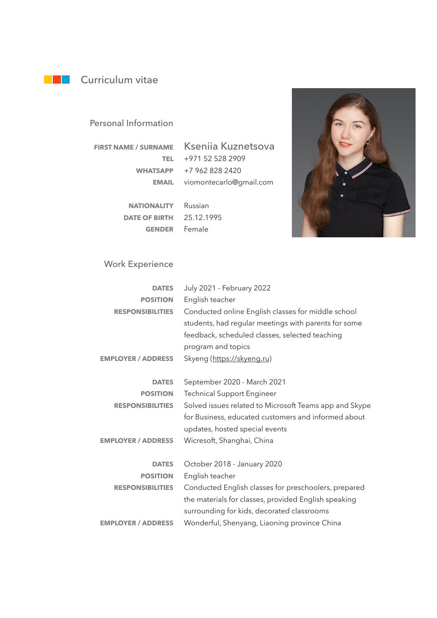## **Curriculum vitae**

#### Personal Information

**FIRST NAME / SURNAME**

Kseniia Kuznetsova +971 52 528 2909 **TEL** +7 962 828 2420 **WHATSAPP** viomontecarlo@gmail.com **EMAIL**

**NATIONALITY** Russian 25.12.1995 **DATE OF BIRTH** GENDER Female



### Work Experience

| <b>DATES</b>              | July 2021 - February 2022                              |
|---------------------------|--------------------------------------------------------|
| <b>POSITION</b>           | English teacher                                        |
| <b>RESPONSIBILITIES</b>   | Conducted online English classes for middle school     |
|                           | students, had regular meetings with parents for some   |
|                           | feedback, scheduled classes, selected teaching         |
|                           | program and topics                                     |
| <b>EMPLOYER / ADDRESS</b> | Skyeng (https://skyeng.ru)                             |
| <b>DATES</b>              |                                                        |
|                           | September 2020 - March 2021                            |
| <b>POSITION</b>           | <b>Technical Support Engineer</b>                      |
| <b>RESPONSIBILITIES</b>   | Solved issues related to Microsoft Teams app and Skype |
|                           | for Business, educated customers and informed about    |
|                           | updates, hosted special events                         |
| <b>EMPLOYER / ADDRESS</b> | Wicresoft, Shanghai, China                             |
| <b>DATES</b>              | October 2018 - January 2020                            |
| <b>POSITION</b>           | English teacher                                        |
| <b>RESPONSIBILITIES</b>   | Conducted English classes for preschoolers, prepared   |
|                           | the materials for classes, provided English speaking   |
|                           | surrounding for kids, decorated classrooms             |
| <b>EMPLOYER / ADDRESS</b> | Wonderful, Shenyang, Liaoning province China           |
|                           |                                                        |